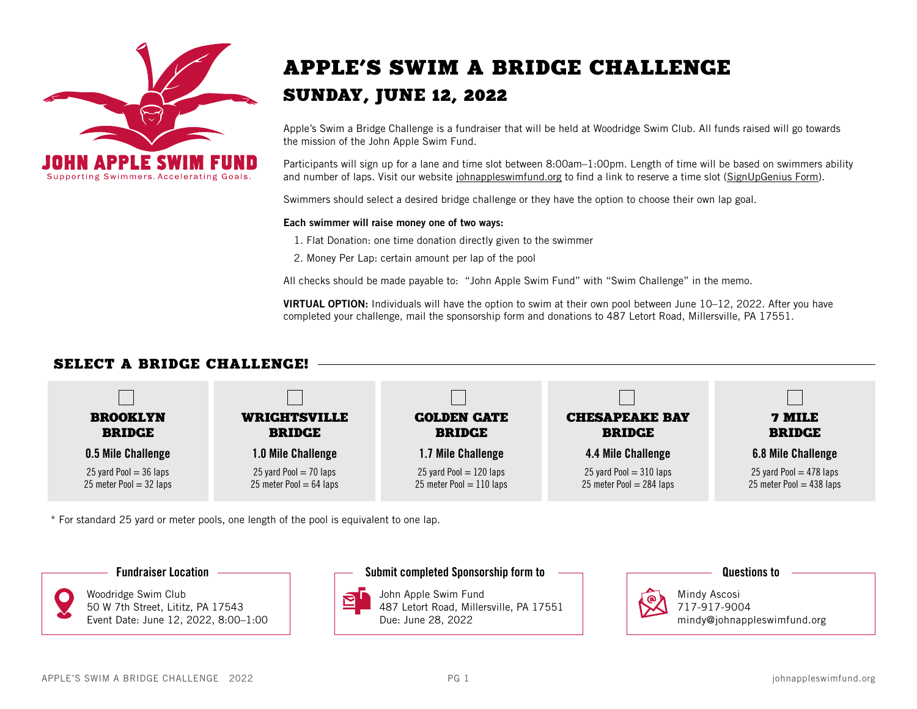

## APPLE'S SWIM A BRIDGE CHALLENGE SUNDAY, JUNE 12, 2022

Apple's Swim a Bridge Challenge is a fundraiser that will be held at Woodridge Swim Club. All funds raised will go towards the mission of the John Apple Swim Fund.

Participants will sign up for a lane and time slot between 8:00am–1:00pm. Length of time will be based on swimmers ability and number of laps. Visit our website [johnappleswimfund.org](https://johnappleswimfund.org/events/) to find a link to reserve a time slot [\(SignUpGenius Form\).](https://www.signupgenius.com/go/10C0C4AAEAB29A2FBCF8-2022)

Swimmers should select a desired bridge challenge or they have the option to choose their own lap goal.

#### Each swimmer will raise money one of two ways:

1. Flat Donation: one time donation directly given to the swimmer

2. Money Per Lap: certain amount per lap of the pool

All checks should be made payable to: "John Apple Swim Fund" with "Swim Challenge" in the memo.

VIRTUAL OPTION: Individuals will have the option to swim at their own pool between June 10–12, 2022. After you have completed your challenge, mail the sponsorship form and donations to 487 Letort Road, Millersville, PA 17551.

### SELECT A BRIDGE CHALLENGE!



\* For standard 25 yard or meter pools, one length of the pool is equivalent to one lap.